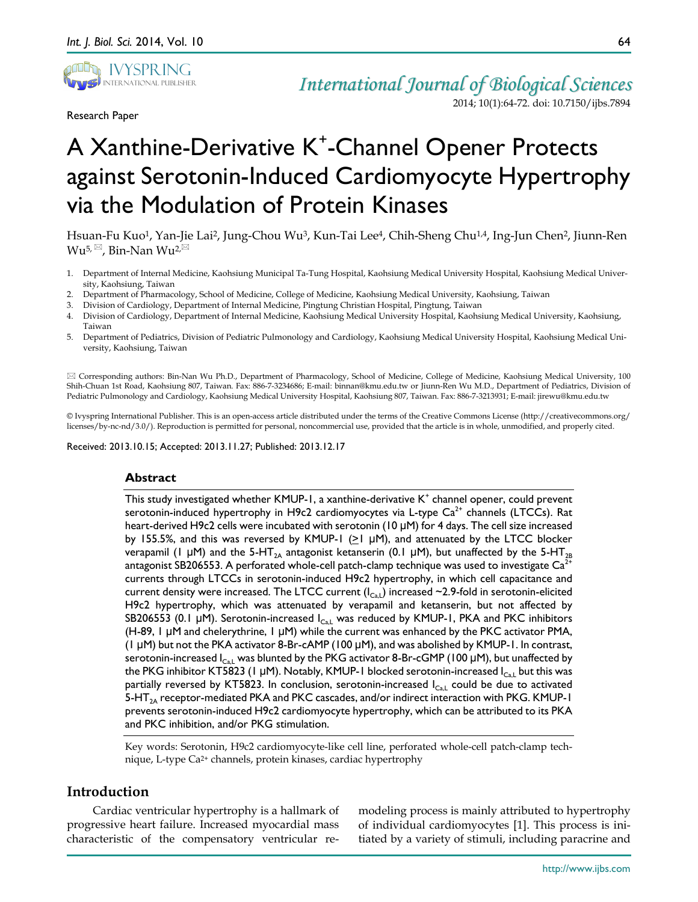

Research Paper

*International Journal of Biological Sciences* 2014; 10(1):64-72. doi: 10.7150/ijbs.7894

# A Xanthine-Derivative K<sup>+</sup>-Channel Opener Protects against Serotonin-Induced Cardiomyocyte Hypertrophy via the Modulation of Protein Kinases

Hsuan-Fu Kuo1, Yan-Jie Lai2, Jung-Chou Wu3, Kun-Tai Lee4, Chih-Sheng Chu1,4, Ing-Jun Chen2, Jiunn-Ren  $Wu^{5, \boxtimes}$ , Bin-Nan  $Wu^{2, \boxtimes}$ 

- 1. Department of Internal Medicine, Kaohsiung Municipal Ta-Tung Hospital, Kaohsiung Medical University Hospital, Kaohsiung Medical University, Kaohsiung, Taiwan
- 2. Department of Pharmacology, School of Medicine, College of Medicine, Kaohsiung Medical University, Kaohsiung, Taiwan
- 3. Division of Cardiology, Department of Internal Medicine, Pingtung Christian Hospital, Pingtung, Taiwan
- 4. Division of Cardiology, Department of Internal Medicine, Kaohsiung Medical University Hospital, Kaohsiung Medical University, Kaohsiung, Taiwan
- 5. Department of Pediatrics, Division of Pediatric Pulmonology and Cardiology, Kaohsiung Medical University Hospital, Kaohsiung Medical University, Kaohsiung, Taiwan

 Corresponding authors: Bin-Nan Wu Ph.D., Department of Pharmacology, School of Medicine, College of Medicine, Kaohsiung Medical University, 100 Shih-Chuan 1st Road, Kaohsiung 807, Taiwan. Fax: 886-7-3234686; E-mail: binnan@kmu.edu.tw or Jiunn-Ren Wu M.D., Department of Pediatrics, Division of Pediatric Pulmonology and Cardiology, Kaohsiung Medical University Hospital, Kaohsiung 807, Taiwan. Fax: 886-7-3213931; E-mail: jirewu@kmu.edu.tw

© Ivyspring International Publisher. This is an open-access article distributed under the terms of the Creative Commons License (http://creativecommons.org/ licenses/by-nc-nd/3.0/). Reproduction is permitted for personal, noncommercial use, provided that the article is in whole, unmodified, and properly cited.

Received: 2013.10.15; Accepted: 2013.11.27; Published: 2013.12.17

#### **Abstract**

This study investigated whether  $KMUP-1$ , a xanthine-derivative  $K^+$  channel opener, could prevent serotonin-induced hypertrophy in H9c2 cardiomyocytes via L-type  $Ca<sup>2+</sup>$  channels (LTCCs). Rat heart-derived H9c2 cells were incubated with serotonin (10 μM) for 4 days. The cell size increased by 155.5%, and this was reversed by KMUP-1 ( $\geq$ 1 µM), and attenuated by the LTCC blocker verapamil (1 μM) and the 5-HT<sub>2A</sub> antagonist ketanserin (0.1 μM), but unaffected by the 5-HT<sub>2B</sub> antagonist SB206553. A perforated whole-cell patch-clamp technique was used to investigate  $Ca^{2+}$ currents through LTCCs in serotonin-induced H9c2 hypertrophy, in which cell capacitance and current density were increased. The LTCC current  $(I_{Ca,L})$  increased ~2.9-fold in serotonin-elicited H9c2 hypertrophy, which was attenuated by verapamil and ketanserin, but not affected by SB206553 (0.1  $\mu$ M). Serotonin-increased  $I_{Ca,L}$  was reduced by KMUP-1, PKA and PKC inhibitors (H-89, 1 μM and chelerythrine, 1 μM) while the current was enhanced by the PKC activator PMA, (1 μM) but not the PKA activator 8-Br-cAMP (100 μM), and was abolished by KMUP-1. In contrast, serotonin-increased  $I_{\text{Cal}}$  was blunted by the PKG activator 8-Br-cGMP (100 µM), but unaffected by the PKG inhibitor KT5823 (1  $\mu$ M). Notably, KMUP-1 blocked serotonin-increased I<sub>Ca,L</sub> but this was partially reversed by KT5823. In conclusion, serotonin-increased  $I_{\text{Cal}}$  could be due to activated 5-HT $_{2A}$  receptor-mediated PKA and PKC cascades, and/or indirect interaction with PKG. KMUP-1 prevents serotonin-induced H9c2 cardiomyocyte hypertrophy, which can be attributed to its PKA and PKC inhibition, and/or PKG stimulation.

Key words: Serotonin, H9c2 cardiomyocyte-like cell line, perforated whole-cell patch-clamp technique, L-type Ca2+ channels, protein kinases, cardiac hypertrophy

# **Introduction**

Cardiac ventricular hypertrophy is a hallmark of progressive heart failure. Increased myocardial mass characteristic of the compensatory ventricular remodeling process is mainly attributed to hypertrophy of individual cardiomyocytes [1]. This process is initiated by a variety of stimuli, including paracrine and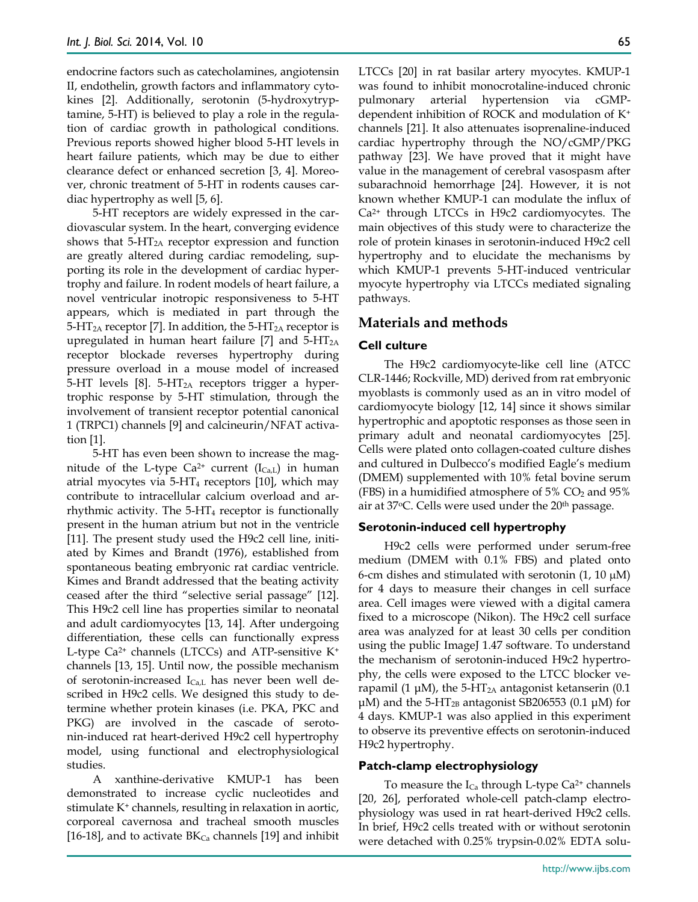endocrine factors such as catecholamines, angiotensin II, endothelin, growth factors and inflammatory cytokines [2]. Additionally, serotonin (5-hydroxytryptamine, 5-HT) is believed to play a role in the regulation of cardiac growth in pathological conditions. Previous reports showed higher blood 5-HT levels in heart failure patients, which may be due to either clearance defect or enhanced secretion [3, 4]. Moreover, chronic treatment of 5-HT in rodents causes cardiac hypertrophy as well [5, 6].

5-HT receptors are widely expressed in the cardiovascular system. In the heart, converging evidence shows that  $5-\text{HT}_{2A}$  receptor expression and function are greatly altered during cardiac remodeling, supporting its role in the development of cardiac hypertrophy and failure. In rodent models of heart failure, a novel ventricular inotropic responsiveness to 5-HT appears, which is mediated in part through the  $5-\text{HT}_{2A}$  receptor [7]. In addition, the  $5-\text{HT}_{2A}$  receptor is upregulated in human heart failure [7] and  $5-HT_{2A}$ receptor blockade reverses hypertrophy during pressure overload in a mouse model of increased 5-HT levels  $[8]$ . 5-HT<sub>2A</sub> receptors trigger a hypertrophic response by 5-HT stimulation, through the involvement of transient receptor potential canonical 1 (TRPC1) channels [9] and calcineurin/NFAT activation [1].

5-HT has even been shown to increase the magnitude of the L-type  $Ca^{2+}$  current (I $_{Ca,L}$ ) in human atrial myocytes via  $5-\text{HT}_4$  receptors [10], which may contribute to intracellular calcium overload and arrhythmic activity. The 5-HT4 receptor is functionally present in the human atrium but not in the ventricle [11]. The present study used the H9c2 cell line, initiated by Kimes and Brandt (1976), established from spontaneous beating embryonic rat cardiac ventricle. Kimes and Brandt addressed that the beating activity ceased after the third "selective serial passage" [12]. This H9c2 cell line has properties similar to neonatal and adult cardiomyocytes [13, 14]. After undergoing differentiation, these cells can functionally express L-type  $Ca^{2+}$  channels (LTCCs) and ATP-sensitive  $K^+$ channels [13, 15]. Until now, the possible mechanism of serotonin-increased  $I_{Ca,L}$  has never been well described in H9c2 cells. We designed this study to determine whether protein kinases (i.e. PKA, PKC and PKG) are involved in the cascade of serotonin-induced rat heart-derived H9c2 cell hypertrophy model, using functional and electrophysiological studies.

A xanthine-derivative KMUP-1 has been demonstrated to increase cyclic nucleotides and stimulate K+ channels, resulting in relaxation in aortic, corporeal cavernosa and tracheal smooth muscles [16-18], and to activate  $BK_{Ca}$  channels [19] and inhibit LTCCs [20] in rat basilar artery myocytes. KMUP-1 was found to inhibit monocrotaline-induced chronic pulmonary arterial hypertension via cGMPdependent inhibition of ROCK and modulation of K+ channels [21]. It also attenuates isoprenaline-induced cardiac hypertrophy through the NO/cGMP/PKG pathway [23]. We have proved that it might have value in the management of cerebral vasospasm after subarachnoid hemorrhage [24]. However, it is not known whether KMUP-1 can modulate the influx of Ca2+ through LTCCs in H9c2 cardiomyocytes. The main objectives of this study were to characterize the role of protein kinases in serotonin-induced H9c2 cell hypertrophy and to elucidate the mechanisms by which KMUP-1 prevents 5-HT-induced ventricular myocyte hypertrophy via LTCCs mediated signaling pathways.

# **Materials and methods**

## **Cell culture**

The H9c2 cardiomyocyte-like cell line (ATCC CLR-1446; Rockville, MD) derived from rat embryonic myoblasts is commonly used as an in vitro model of cardiomyocyte biology [12, 14] since it shows similar hypertrophic and apoptotic responses as those seen in primary adult and neonatal cardiomyocytes [25]. Cells were plated onto collagen-coated culture dishes and cultured in Dulbecco's modified Eagle's medium (DMEM) supplemented with 10% fetal bovine serum (FBS) in a humidified atmosphere of  $5\%$  CO<sub>2</sub> and  $95\%$ air at 37oC. Cells were used under the 20th passage.

#### **Serotonin-induced cell hypertrophy**

H9c2 cells were performed under serum-free medium (DMEM with 0.1% FBS) and plated onto 6-cm dishes and stimulated with serotonin  $(1, 10 \mu M)$ for 4 days to measure their changes in cell surface area. Cell images were viewed with a digital camera fixed to a microscope (Nikon). The H9c2 cell surface area was analyzed for at least 30 cells per condition using the public ImageJ 1.47 software. To understand the mechanism of serotonin-induced H9c2 hypertrophy, the cells were exposed to the LTCC blocker verapamil (1  $\mu$ M), the 5-HT<sub>2A</sub> antagonist ketanserin (0.1 μM) and the 5-HT<sub>2B</sub> antagonist SB206553 (0.1 μM) for 4 days. KMUP-1 was also applied in this experiment to observe its preventive effects on serotonin-induced H9c2 hypertrophy.

#### **Patch-clamp electrophysiology**

To measure the  $I_{Ca}$  through L-type  $Ca<sup>2+</sup>$  channels [20, 26], perforated whole-cell patch-clamp electrophysiology was used in rat heart-derived H9c2 cells. In brief, H9c2 cells treated with or without serotonin were detached with 0.25% trypsin-0.02% EDTA solu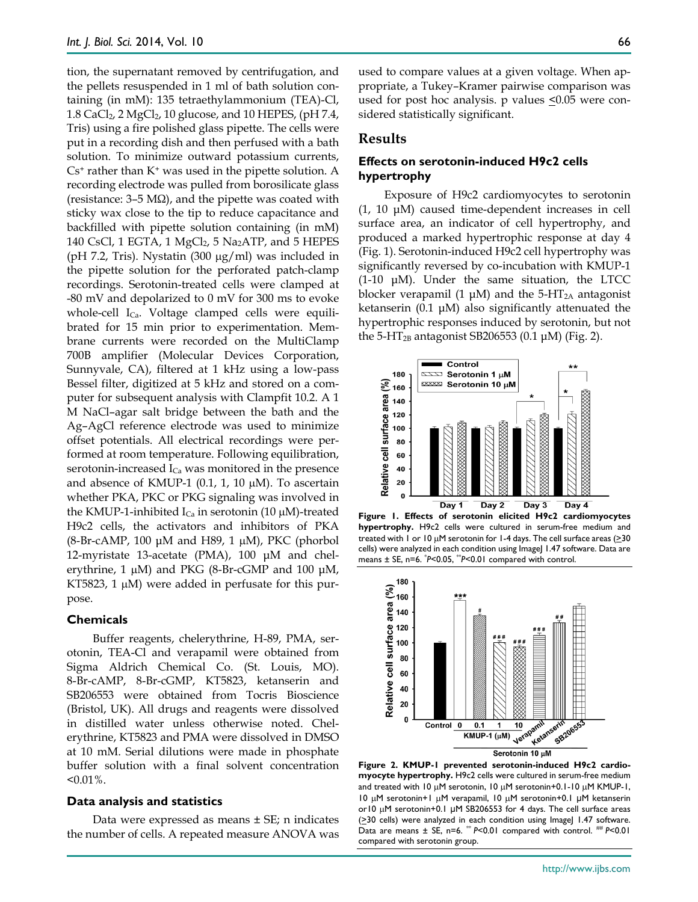tion, the supernatant removed by centrifugation, and the pellets resuspended in 1 ml of bath solution containing (in mM): 135 tetraethylammonium (TEA)-Cl, 1.8 CaCl<sub>2</sub>, 2 MgCl<sub>2</sub>, 10 glucose, and 10 HEPES, (pH 7.4, Tris) using a fire polished glass pipette. The cells were put in a recording dish and then perfused with a bath solution. To minimize outward potassium currents,  $Cs<sup>+</sup>$  rather than  $K<sup>+</sup>$  was used in the pipette solution. A recording electrode was pulled from borosilicate glass (resistance:  $3-5 \text{ M}\Omega$ ), and the pipette was coated with sticky wax close to the tip to reduce capacitance and backfilled with pipette solution containing (in mM) 140 CsCl, 1 EGTA, 1  $MgCl<sub>2</sub>$ , 5  $Na<sub>2</sub>ATP$ , and 5 HEPES (pH 7.2, Tris). Nystatin  $(300 \mu g/ml)$  was included in the pipette solution for the perforated patch-clamp recordings. Serotonin-treated cells were clamped at -80 mV and depolarized to 0 mV for 300 ms to evoke whole-cell I<sub>Ca</sub>. Voltage clamped cells were equilibrated for 15 min prior to experimentation. Membrane currents were recorded on the MultiClamp 700B amplifier (Molecular Devices Corporation, Sunnyvale, CA), filtered at 1 kHz using a low-pass Bessel filter, digitized at 5 kHz and stored on a computer for subsequent analysis with Clampfit 10.2. A 1 M NaCl–agar salt bridge between the bath and the Ag–AgCl reference electrode was used to minimize offset potentials. All electrical recordings were performed at room temperature. Following equilibration, serotonin-increased  $I_{Ca}$  was monitored in the presence and absence of KMUP-1 (0.1, 1, 10  $\mu$ M). To ascertain whether PKA, PKC or PKG signaling was involved in the KMUP-1-inhibited  $I_{Ca}$  in serotonin (10  $\mu$ M)-treated H9c2 cells, the activators and inhibitors of PKA (8-Br-cAMP, 100  $\mu$ M and H89, 1  $\mu$ M), PKC (phorbol 12-myristate 13-acetate (PMA), 100 μM and chelerythrine, 1 μM) and PKG (8-Br-cGMP and 100 μM, KT5823, 1  $\mu$ M) were added in perfusate for this purpose.

#### **Chemicals**

Buffer reagents, chelerythrine, H-89, PMA, serotonin, TEA-Cl and verapamil were obtained from Sigma Aldrich Chemical Co. (St. Louis, MO). 8-Br-cAMP, 8-Br-cGMP, KT5823, ketanserin and SB206553 were obtained from Tocris Bioscience (Bristol, UK). All drugs and reagents were dissolved in distilled water unless otherwise noted. Chelerythrine, KT5823 and PMA were dissolved in DMSO at 10 mM. Serial dilutions were made in phosphate buffer solution with a final solvent concentration  $< 0.01\%$ .

#### **Data analysis and statistics**

Data were expressed as means  $\pm$  SE; n indicates the number of cells. A repeated measure ANOVA was used to compare values at a given voltage. When appropriate, a Tukey–Kramer pairwise comparison was used for post hoc analysis. p values  $\leq 0.05$  were considered statistically significant.

## **Results**

### **Effects on serotonin-induced H9c2 cells hypertrophy**

Exposure of H9c2 cardiomyocytes to serotonin (1, 10 μM) caused time-dependent increases in cell surface area, an indicator of cell hypertrophy, and produced a marked hypertrophic response at day 4 (Fig. 1). Serotonin-induced H9c2 cell hypertrophy was significantly reversed by co-incubation with KMUP-1 (1-10 μM). Under the same situation, the LTCC blocker verapamil (1  $\mu$ M) and the 5-HT<sub>2A</sub> antagonist ketanserin (0.1 μM) also significantly attenuated the hypertrophic responses induced by serotonin, but not the 5-HT<sub>2B</sub> antagonist SB206553 (0.1  $\mu$ M) (Fig. 2).



**Figure 1. Effects of serotonin elicited H9c2 cardiomyocytes hypertrophy.** H9c2 cells were cultured in serum-free medium and treated with 1 or 10 µM serotonin for 1-4 days. The cell surface areas (>30 cells) were analyzed in each condition using ImageJ 1.47 software. Data are means ± SE, n=6. \* *P*<0.05, \*\**P*<0.01 compared with control.



**Figure 2. KMUP-1 prevented serotonin-induced H9c2 cardiomyocyte hypertrophy.** H9c2 cells were cultured in serum-free medium and treated with 10  $\mu$ M serotonin, 10  $\mu$ M serotonin+0.1-10  $\mu$ M KMUP-1, 10 µM serotonin+1 µM verapamil, 10 µM serotonin+0.1 μM ketanserin or10 µM serotonin+0.1 μM SB206553 for 4 days. The cell surface areas  $( \geq 30 \text{ cells})$  were analyzed in each condition using ImageJ 1.47 software. Data are means ± SE, n=6. \*\* *P*<0.01 compared with control. \*\* *P*<0.01 compared with serotonin group.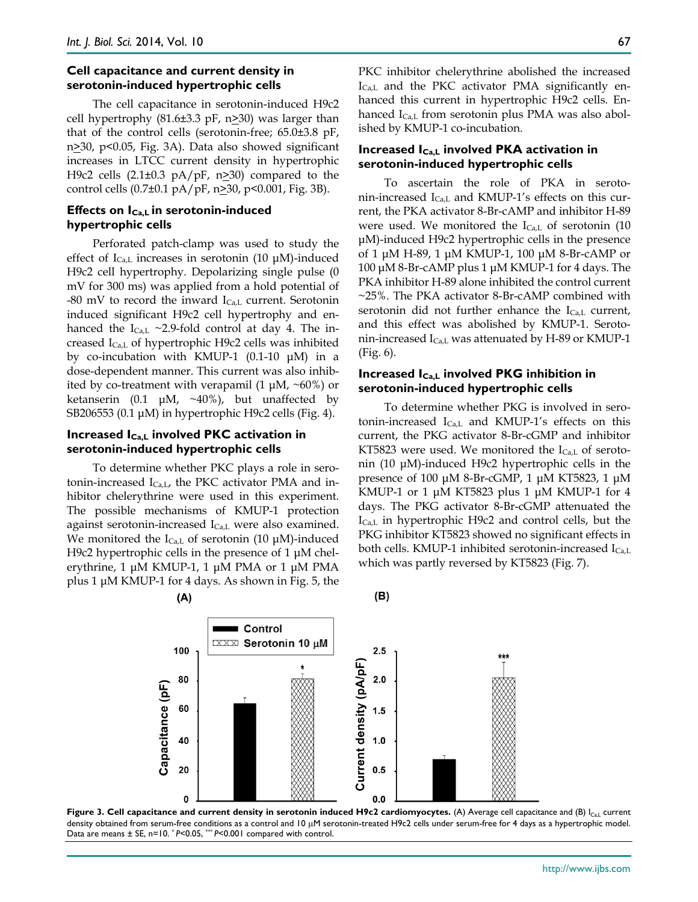#### **Cell capacitance and current density in serotonin-induced hypertrophic cells**

The cell capacitance in serotonin-induced H9c2 cell hypertrophy (81.6 $\pm$ 3.3 pF, n $\geq$ 30) was larger than that of the control cells (serotonin-free; 65.0±3.8 pF, n>30, p<0.05, Fig. 3A). Data also showed significant increases in LTCC current density in hypertrophic H9c2 cells  $(2.1\pm0.3 \text{ pA/pF}, n \ge 30)$  compared to the control cells (0.7±0.1 pA/pF, n≥30, p<0.001, Fig. 3B).

#### **Effects on ICa,L in serotonin-induced hypertrophic cells**

Perforated patch-clamp was used to study the effect of  $I_{Ca,L}$  increases in serotonin (10  $\mu$ M)-induced H9c2 cell hypertrophy. Depolarizing single pulse (0 mV for 300 ms) was applied from a hold potential of -80 mV to record the inward  $I_{Ca,L}$  current. Serotonin induced significant H9c2 cell hypertrophy and enhanced the  $I_{Ca,L} \sim 2.9$ -fold control at day 4. The increased  $I_{Ca,L}$  of hypertrophic H9c2 cells was inhibited by co-incubation with KMUP-1 (0.1-10 μM) in a dose-dependent manner. This current was also inhibited by co-treatment with verapamil  $(1 \mu M, \sim 60\%)$  or ketanserin (0.1  $\mu$ M, ~40%), but unaffected by SB206553 (0.1 μM) in hypertrophic H9c2 cells (Fig. 4).

#### **Increased ICa,L involved PKC activation in serotonin-induced hypertrophic cells**

To determine whether PKC plays a role in serotonin-increased  $I_{Ca,L}$ , the PKC activator PMA and inhibitor chelerythrine were used in this experiment. The possible mechanisms of KMUP-1 protection against serotonin-increased  $I_{Ca,L}$  were also examined. We monitored the  $I_{Ca,L}$  of serotonin (10  $\mu$ M)-induced H9c2 hypertrophic cells in the presence of 1 μM chelerythrine, 1 μM KMUP-1, 1 μM PMA or 1 μM PMA plus 1 μM KMUP-1 for 4 days. As shown in Fig. 5, the  $(A)$ 

PKC inhibitor chelerythrine abolished the increased  $I_{Ca,L}$  and the PKC activator PMA significantly enhanced this current in hypertrophic H9c2 cells. Enhanced  $I_{Ca,L}$  from serotonin plus PMA was also abolished by KMUP-1 co-incubation.

## **Increased ICa,L involved PKA activation in serotonin-induced hypertrophic cells**

To ascertain the role of PKA in serotonin-increased ICa,L and KMUP-1's effects on this current, the PKA activator 8-Br-cAMP and inhibitor H-89 were used. We monitored the  $I_{Ca,L}$  of serotonin (10 μM)-induced H9c2 hypertrophic cells in the presence of 1 μM H-89, 1 μM KMUP-1, 100 μM 8-Br-cAMP or 100 μM 8-Br-cAMP plus 1 μM KMUP-1 for 4 days. The PKA inhibitor H-89 alone inhibited the control current ~25%. The PKA activator 8-Br-cAMP combined with serotonin did not further enhance the  $I_{Ca,L}$  current, and this effect was abolished by KMUP-1. Serotonin-increased  $I_{Ca,L}$  was attenuated by H-89 or KMUP-1 (Fig. 6).

### **Increased ICa,L involved PKG inhibition in serotonin-induced hypertrophic cells**

To determine whether PKG is involved in serotonin-increased  $I_{Ca,L}$  and KMUP-1's effects on this current, the PKG activator 8-Br-cGMP and inhibitor KT5823 were used. We monitored the  $I_{Ca, L}$  of serotonin (10 μM)-induced H9c2 hypertrophic cells in the presence of 100 μM 8-Br-cGMP, 1 μM KT5823, 1 μM KMUP-1 or 1 μM KT5823 plus 1 μM KMUP-1 for 4 days. The PKG activator 8-Br-cGMP attenuated the  $I_{Ca,L}$  in hypertrophic H9c2 and control cells, but the PKG inhibitor KT5823 showed no significant effects in both cells. KMUP-1 inhibited serotonin-increased  $I_{Ca,L}$ which was partly reversed by KT5823 (Fig. 7).



 $(B)$ 

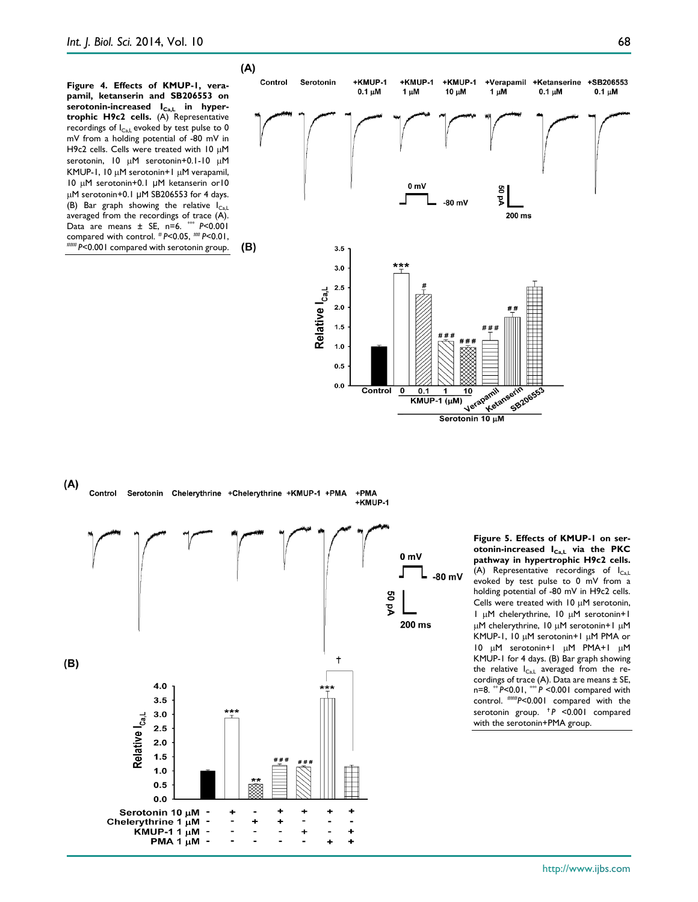**Figure 4. Effects of KMUP-1, verapamil, ketanserin and SB206553 on**  serotonin-increased I<sub>Ca,L</sub> in hyper**trophic H9c2 cells.** (A) Representative recordings of  $I_{Ca,L}$  evoked by test pulse to 0 mV from a holding potential of -80 mV in H9c2 cells. Cells were treated with 10 µM serotonin, 10 µM serotonin+0.1-10 µM KMUP-1, 10 µM serotonin+1 µM verapamil, 10 µM serotonin+0.1 μM ketanserin or10 µM serotonin+0.1 μM SB206553 for 4 days. (B) Bar graph showing the relative  $I_{Ca,L}$ averaged from the recordings of trace (A). Data are means ± SE, n=6. \*\*\* *P*<0.001 compared with control. # *P*<0.05, ## *P*<0.01, ### *P*<0.001 compared with serotonin group.





**Figure 5. Effects of KMUP-1 on serotonin-increased ICa,L via the PKC pathway in hypertrophic H9c2 cells.** (A) Representative recordings of  $I_{\text{Cal}}$ evoked by test pulse to 0 mV from a holding potential of -80 mV in H9c2 cells. Cells were treated with  $10 \mu$ M serotonin, 1 µM chelerythrine, 10 µM serotonin+1 µM chelerythrine, 10 µM serotonin+1 µM KMUP-1, 10 µM serotonin+1 µM PMA or 10 µM serotonin+1 µM PMA+1 µM KMUP-1 for 4 days. (B) Bar graph showing the relative  $I_{Ca,L}$  averaged from the recordings of trace  $(A)$ . Data are means  $\pm$  SE, n=8. \*\* *P*<0.01, \*\*\* *P* <0.001 compared with control. ###*P<*0.001 compared with the serotonin group. ✝*P* <0.001 compared with the serotonin+PMA group.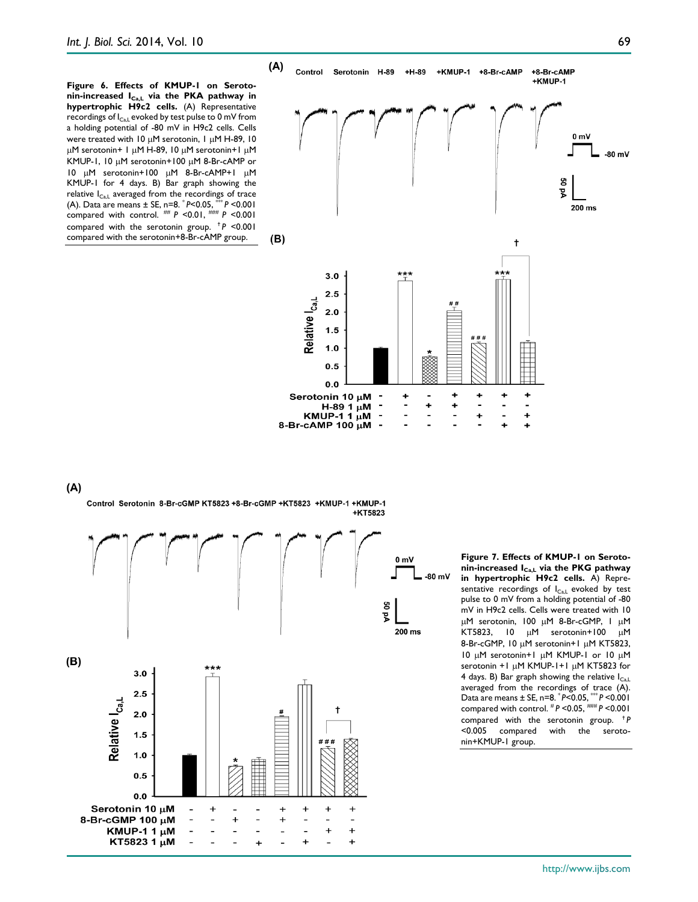**Figure 6. Effects of KMUP-1 on Serotonin-increased ICa,L via the PKA pathway in hypertrophic H9c2 cells.** (A) Representative recordings of  $I_{CAL}$  evoked by test pulse to 0 mV from a holding potential of -80 mV in H9c2 cells. Cells were treated with 10 µM serotonin, 1 µM H-89, 10 µM serotonin+ 1 µM H-89, 10 µM serotonin+1 µM KMUP-1, 10 µM serotonin+100 µM 8-Br-cAMP or 10 µM serotonin+100 µM 8-Br-cAMP+1 µM KMUP-1 for 4 days. B) Bar graph showing the relative  $I_{\text{Ca},L}$  averaged from the recordings of trace (A). Data are means  $\pm$  SE, n=8,  $\degree$  P < 0.05,  $\degree$  P < 0.001 (A). Data are means  $\pm$  SE, n=8. \* *P* < 0.05, compared with control. ## *P* <0.01, ### *P* <0.001 compared with the serotonin group. ✝*P* <0.001 compared with the serotonin+8-Br-cAMP group.



÷,  $\overline{a}$ Ĭ. ÷ H-89 1  $\mu$ M KMUP-1 1  $\mu$ M  $\overline{a}$  $\overline{a}$ l,  $\ddot{}$ 8-Br-cAMP 100  $\mu$ M l,

#### $(A)$

Control Serotonin 8-Br-cGMP KT5823 +8-Br-cGMP +KT5823 +KMUP-1 +KMUP-1 +KT5823



**Figure 7. Effects of KMUP-1 on Serotonin-increased ICa,L via the PKG pathway in hypertrophic H9c2 cells.** A) Representative recordings of  $I_{Ca,L}$  evoked by test pulse to 0 mV from a holding potential of -80 mV in H9c2 cells. Cells were treated with 10 µM serotonin, 100 µM 8-Br-cGMP, 1 µM KT5823, 10 µM serotonin+100 µM 8-Br-cGMP, 10 µM serotonin+1 µM KT5823, 10 µM serotonin+1 µM KMUP-1 or 10 µM serotonin +1 µM KMUP-1+1 µM KT5823 for 4 days. B) Bar graph showing the relative  $I_{\text{Cal}}$ averaged from the recordings of trace (A). Data are means ± SE, n=8. \* *P*<0.05, \*\*\* *P* <0.001 compared with control. # *P* <0.05, ### *P* <0.001 compared with the serotonin group. <sup>†</sup>*P*<br><0.005 compared with the seroto-<0.005 compared with the serotonin+KMUP-1 group.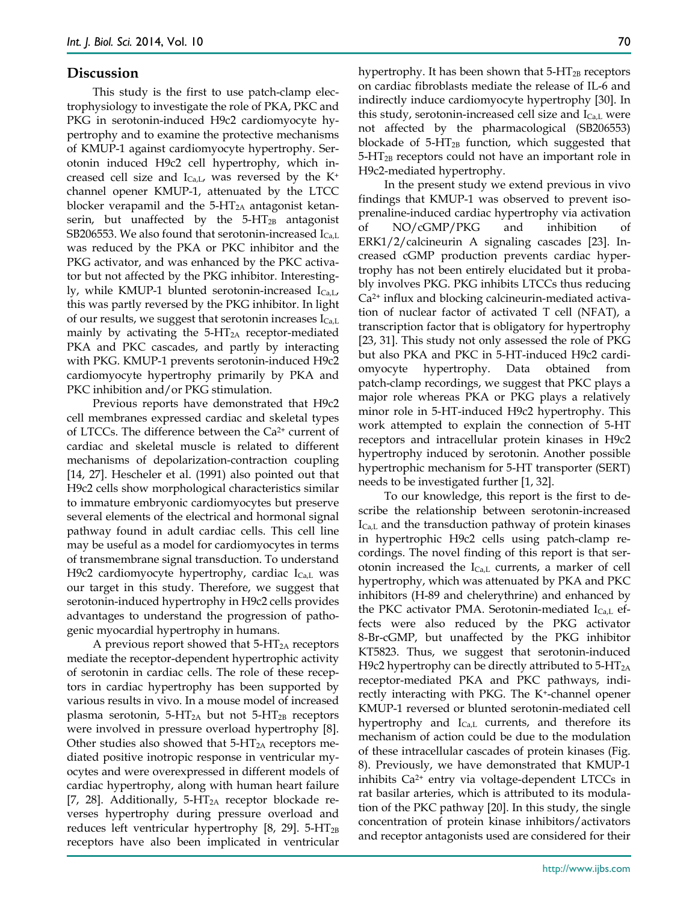#### **Discussion**

This study is the first to use patch-clamp electrophysiology to investigate the role of PKA, PKC and PKG in serotonin-induced H9c2 cardiomyocyte hypertrophy and to examine the protective mechanisms of KMUP-1 against cardiomyocyte hypertrophy. Serotonin induced H9c2 cell hypertrophy, which increased cell size and  $I_{Ca, L}$ , was reversed by the K<sup>+</sup> channel opener KMUP-1, attenuated by the LTCC blocker verapamil and the  $5-\text{HT}_{2A}$  antagonist ketanserin, but unaffected by the  $5-HT_{2B}$  antagonist SB206553. We also found that serotonin-increased  $I_{Ca,L}$ was reduced by the PKA or PKC inhibitor and the PKG activator, and was enhanced by the PKC activator but not affected by the PKG inhibitor. Interestingly, while KMUP-1 blunted serotonin-increased  $I_{Ca,L}$ , this was partly reversed by the PKG inhibitor. In light of our results, we suggest that serotonin increases  $I_{Ca,L}$ mainly by activating the  $5-\text{HT}_{2A}$  receptor-mediated PKA and PKC cascades, and partly by interacting with PKG. KMUP-1 prevents serotonin-induced H9c2 cardiomyocyte hypertrophy primarily by PKA and PKC inhibition and/or PKG stimulation.

Previous reports have demonstrated that H9c2 cell membranes expressed cardiac and skeletal types of LTCCs. The difference between the Ca2+ current of cardiac and skeletal muscle is related to different mechanisms of depolarization-contraction coupling [14, 27]. Hescheler et al. (1991) also pointed out that H9c2 cells show morphological characteristics similar to immature embryonic cardiomyocytes but preserve several elements of the electrical and hormonal signal pathway found in adult cardiac cells. This cell line may be useful as a model for cardiomyocytes in terms of transmembrane signal transduction. To understand H9c2 cardiomyocyte hypertrophy, cardiac  $I_{Ca,L}$  was our target in this study. Therefore, we suggest that serotonin-induced hypertrophy in H9c2 cells provides advantages to understand the progression of pathogenic myocardial hypertrophy in humans.

A previous report showed that  $5-\text{HT}_{2A}$  receptors mediate the receptor-dependent hypertrophic activity of serotonin in cardiac cells. The role of these receptors in cardiac hypertrophy has been supported by various results in vivo. In a mouse model of increased plasma serotonin,  $5-HT_{2A}$  but not  $5-HT_{2B}$  receptors were involved in pressure overload hypertrophy [8]. Other studies also showed that  $5$ -HT<sub>2A</sub> receptors mediated positive inotropic response in ventricular myocytes and were overexpressed in different models of cardiac hypertrophy, along with human heart failure [7, 28]. Additionally,  $5-\text{HT}_{2A}$  receptor blockade reverses hypertrophy during pressure overload and reduces left ventricular hypertrophy  $[8, 29]$ . 5-HT<sub>2B</sub> receptors have also been implicated in ventricular

hypertrophy. It has been shown that  $5-\text{HT}_{2B}$  receptors on cardiac fibroblasts mediate the release of IL-6 and indirectly induce cardiomyocyte hypertrophy [30]. In this study, serotonin-increased cell size and  $I_{Ca,L}$  were not affected by the pharmacological (SB206553) blockade of  $5-\text{HT}_{2B}$  function, which suggested that 5-HT2B receptors could not have an important role in H9c2-mediated hypertrophy.

In the present study we extend previous in vivo findings that KMUP-1 was observed to prevent isoprenaline-induced cardiac hypertrophy via activation of NO/cGMP/PKG and inhibition ERK1/2/calcineurin A signaling cascades [23]. Increased cGMP production prevents cardiac hypertrophy has not been entirely elucidated but it probably involves PKG. PKG inhibits LTCCs thus reducing Ca2+ influx and blocking calcineurin-mediated activation of nuclear factor of activated T cell (NFAT), a transcription factor that is obligatory for hypertrophy [23, 31]. This study not only assessed the role of PKG but also PKA and PKC in 5-HT-induced H9c2 cardiomyocyte hypertrophy. Data obtained from patch-clamp recordings, we suggest that PKC plays a major role whereas PKA or PKG plays a relatively minor role in 5-HT-induced H9c2 hypertrophy. This work attempted to explain the connection of 5-HT receptors and intracellular protein kinases in H9c2 hypertrophy induced by serotonin. Another possible hypertrophic mechanism for 5-HT transporter (SERT) needs to be investigated further [1, 32].

To our knowledge, this report is the first to describe the relationship between serotonin-increased  $I_{Ca,L}$  and the transduction pathway of protein kinases in hypertrophic H9c2 cells using patch-clamp recordings. The novel finding of this report is that serotonin increased the  $I_{Ca,L}$  currents, a marker of cell hypertrophy, which was attenuated by PKA and PKC inhibitors (H-89 and chelerythrine) and enhanced by the PKC activator PMA. Serotonin-mediated  $I_{Ca,L}$  effects were also reduced by the PKG activator 8-Br-cGMP, but unaffected by the PKG inhibitor KT5823. Thus, we suggest that serotonin-induced H9c2 hypertrophy can be directly attributed to  $5-HT_{2A}$ receptor-mediated PKA and PKC pathways, indirectly interacting with PKG. The K+-channel opener KMUP-1 reversed or blunted serotonin-mediated cell hypertrophy and  $I_{Ca,L}$  currents, and therefore its mechanism of action could be due to the modulation of these intracellular cascades of protein kinases (Fig. 8). Previously, we have demonstrated that KMUP-1 inhibits Ca2+ entry via voltage-dependent LTCCs in rat basilar arteries, which is attributed to its modulation of the PKC pathway [20]. In this study, the single concentration of protein kinase inhibitors/activators and receptor antagonists used are considered for their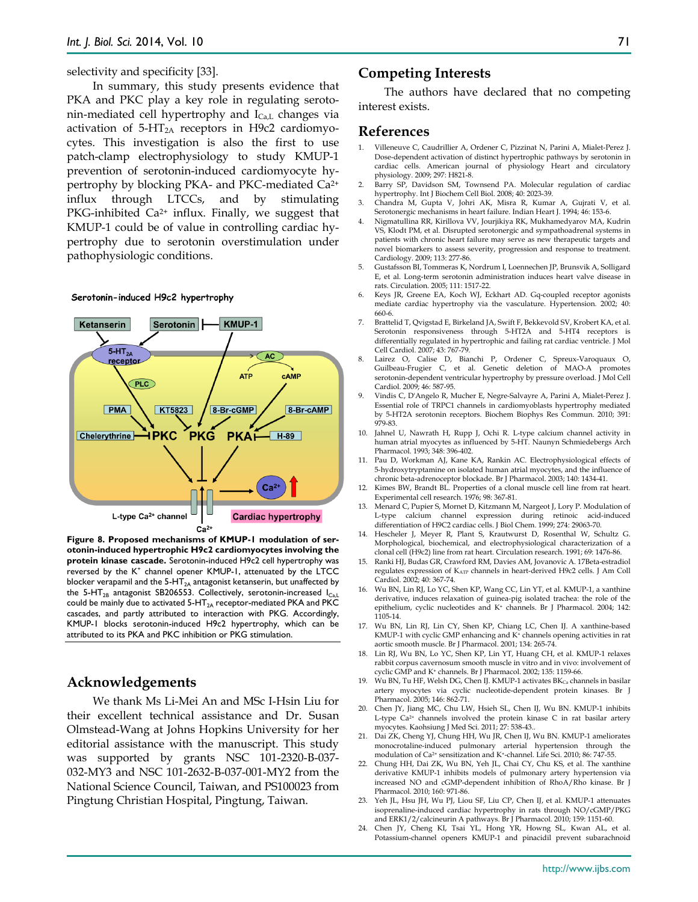selectivity and specificity [33].

In summary, this study presents evidence that PKA and PKC play a key role in regulating serotonin-mediated cell hypertrophy and  $I_{Ca,L}$  changes via activation of  $5-HT_{2A}$  receptors in H9c2 cardiomyocytes. This investigation is also the first to use patch-clamp electrophysiology to study KMUP-1 prevention of serotonin-induced cardiomyocyte hypertrophy by blocking PKA- and PKC-mediated Ca2+ influx through LTCCs, and by stimulating PKG-inhibited  $Ca^{2+}$  influx. Finally, we suggest that KMUP-1 could be of value in controlling cardiac hypertrophy due to serotonin overstimulation under pathophysiologic conditions.

#### Serotonin-induced H9c2 hypertrophy



**Figure 8. Proposed mechanisms of KMUP-1 modulation of serotonin-induced hypertrophic H9c2 cardiomyocytes involving the protein kinase cascade.** Serotonin-induced H9c2 cell hypertrophy was reversed by the K<sup>+</sup> channel opener KMUP-1, attenuated by the LTCC blocker verapamil and the  $5-HT<sub>2A</sub>$  antagonist ketanserin, but unaffected by the 5-HT<sub>2B</sub> antagonist SB206553. Collectively, serotonin-increased  $I_{Ca,L}$ could be mainly due to activated  $5-HT_{2A}$  receptor-mediated PKA and PKC cascades, and partly attributed to interaction with PKG. Accordingly, KMUP-1 blocks serotonin-induced H9c2 hypertrophy, which can be attributed to its PKA and PKC inhibition or PKG stimulation.

# **Acknowledgements**

We thank Ms Li-Mei An and MSc I-Hsin Liu for their excellent technical assistance and Dr. Susan Olmstead-Wang at Johns Hopkins University for her editorial assistance with the manuscript. This study was supported by grants NSC 101-2320-B-037- 032-MY3 and NSC 101-2632-B-037-001-MY2 from the National Science Council, Taiwan, and PS100023 from Pingtung Christian Hospital, Pingtung, Taiwan.

#### **Competing Interests**

The authors have declared that no competing interest exists.

## **References**

- 1. Villeneuve C, Caudrillier A, Ordener C, Pizzinat N, Parini A, Mialet-Perez J. Dose-dependent activation of distinct hypertrophic pathways by serotonin in cardiac cells. American journal of physiology Heart and circulatory physiology. 2009; 297: H821-8.
- Barry SP, Davidson SM, Townsend PA. Molecular regulation of cardiac hypertrophy. Int J Biochem Cell Biol. 2008; 40: 2023-39.
- 3. Chandra M, Gupta V, Johri AK, Misra R, Kumar A, Gujrati V, et al. Serotonergic mechanisms in heart failure. Indian Heart J. 1994; 46: 153-6.
- 4. Nigmatullina RR, Kirillova VV, Jourjikiya RK, Mukhamedyarov MA, Kudrin VS, Klodt PM, et al. Disrupted serotonergic and sympathoadrenal systems in patients with chronic heart failure may serve as new therapeutic targets and novel biomarkers to assess severity, progression and response to treatment. Cardiology. 2009; 113: 277-86.
- 5. Gustafsson BI, Tommeras K, Nordrum I, Loennechen JP, Brunsvik A, Solligard E, et al. Long-term serotonin administration induces heart valve disease in rats. Circulation. 2005; 111: 1517-22.
- 6. Keys JR, Greene EA, Koch WJ, Eckhart AD. Gq-coupled receptor agonists mediate cardiac hypertrophy via the vasculature. Hypertension. 2002; 40: 660-6.
- 7. Brattelid T, Qvigstad E, Birkeland JA, Swift F, Bekkevold SV, Krobert KA, et al. Serotonin responsiveness through 5-HT2A and 5-HT4 receptors is differentially regulated in hypertrophic and failing rat cardiac ventricle. J Mol Cell Cardiol. 2007; 43: 767-79.
- 8. Lairez O, Calise D, Bianchi P, Ordener C, Spreux-Varoquaux O, Guilbeau-Frugier C, et al. Genetic deletion of MAO-A promotes serotonin-dependent ventricular hypertrophy by pressure overload. J Mol Cell Cardiol. 2009; 46: 587-95.
- 9. Vindis C, D'Angelo R, Mucher E, Negre-Salvayre A, Parini A, Mialet-Perez J. Essential role of TRPC1 channels in cardiomyoblasts hypertrophy mediated by 5-HT2A serotonin receptors. Biochem Biophys Res Commun. 2010; 391: 979-83.
- 10. Jahnel U, Nawrath H, Rupp J, Ochi R. L-type calcium channel activity in human atrial myocytes as influenced by 5-HT. Naunyn Schmiedebergs Arch Pharmacol. 1993; 348: 396-402.
- 11. Pau D, Workman AJ, Kane KA, Rankin AC. Electrophysiological effects of 5-hydroxytryptamine on isolated human atrial myocytes, and the influence of chronic beta-adrenoceptor blockade. Br J Pharmacol. 2003; 140: 1434-41.
- 12. Kimes BW, Brandt BL. Properties of a clonal muscle cell line from rat heart. Experimental cell research. 1976; 98: 367-81.
- 13. Menard C, Pupier S, Mornet D, Kitzmann M, Nargeot J, Lory P. Modulation of L-type calcium channel expression during retinoic acid-induced differentiation of H9C2 cardiac cells. J Biol Chem. 1999; 274: 29063-70.
- 14. Hescheler J, Meyer R, Plant S, Krautwurst D, Rosenthal W, Schultz G. Morphological, biochemical, and electrophysiological characterization of a clonal cell (H9c2) line from rat heart. Circulation research. 1991; 69: 1476-86.
- 15. Ranki HJ, Budas GR, Crawford RM, Davies AM, Jovanovic A. 17Beta-estradiol regulates expression of KATP channels in heart-derived H9c2 cells. J Am Coll Cardiol. 2002; 40: 367-74.
- 16. Wu BN, Lin RJ, Lo YC, Shen KP, Wang CC, Lin YT, et al. KMUP-1, a xanthine derivative, induces relaxation of guinea-pig isolated trachea: the role of the epithelium, cyclic nucleotides and K+ channels. Br J Pharmacol. 2004; 142: 1105-14.
- 17. Wu BN, Lin RJ, Lin CY, Shen KP, Chiang LC, Chen IJ. A xanthine-based KMUP-1 with cyclic GMP enhancing and K+ channels opening activities in rat aortic smooth muscle. Br J Pharmacol. 2001; 134: 265-74.
- 18. Lin RJ, Wu BN, Lo YC, Shen KP, Lin YT, Huang CH, et al. KMUP-1 relaxes rabbit corpus cavernosum smooth muscle in vitro and in vivo: involvement of cyclic GMP and K+ channels. Br J Pharmacol. 2002; 135: 1159-66.
- 19. Wu BN, Tu HF, Welsh DG, Chen IJ. KMUP-1 activates BK<sub>Ca</sub> channels in basilar artery myocytes via cyclic nucleotide-dependent protein kinases. Br J Pharmacol. 2005; 146: 862-71.
- 20. Chen JY, Jiang MC, Chu LW, Hsieh SL, Chen IJ, Wu BN. KMUP-1 inhibits L-type Ca<sup>2+</sup> channels involved the protein kinase C in rat basilar artery myocytes. Kaohsiung J Med Sci. 2011; 27: 538-43..
- 21. Dai ZK, Cheng YJ, Chung HH, Wu JR, Chen IJ, Wu BN. KMUP-1 ameliorates monocrotaline-induced pulmonary arterial hypertension through the modulation of Ca2+ sensitization and K+-channel. Life Sci. 2010; 86: 747-55.
- 22. Chung HH, Dai ZK, Wu BN, Yeh JL, Chai CY, Chu KS, et al. The xanthine derivative KMUP-1 inhibits models of pulmonary artery hypertension via increased NO and cGMP-dependent inhibition of RhoA/Rho kinase. Br J Pharmacol. 2010; 160: 971-86.
- 23. Yeh JL, Hsu JH, Wu PJ, Liou SF, Liu CP, Chen IJ, et al. KMUP-1 attenuates isoprenaline-induced cardiac hypertrophy in rats through NO/cGMP/PKG and ERK1/2/calcineurin A pathways. Br J Pharmacol. 2010; 159: 1151-60.
- 24. Chen JY, Cheng KI, Tsai YL, Hong YR, Howng SL, Kwan AL, et al. Potassium-channel openers KMUP-1 and pinacidil prevent subarachnoid